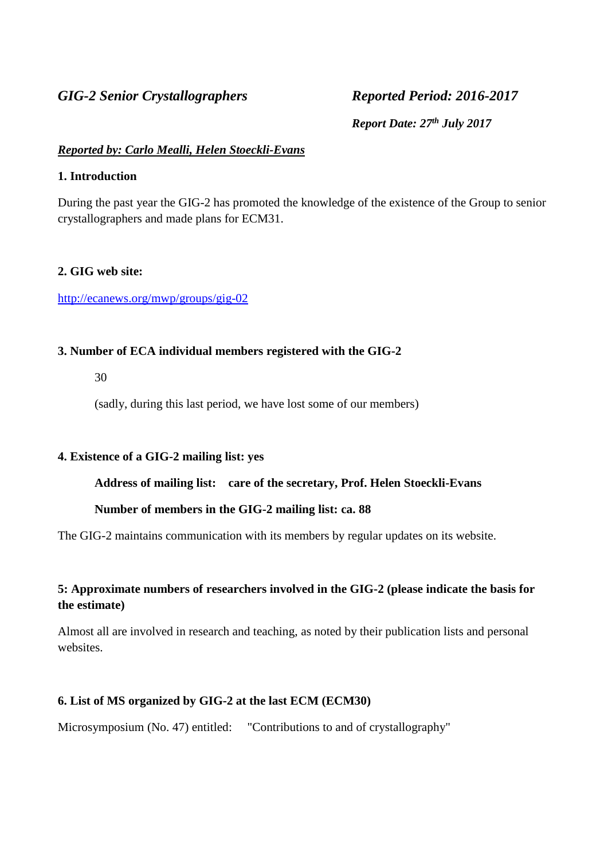# *GIG-2 Senior Crystallographers Reported Period: 2016-2017*

*Report Date: 27th July 2017*

# *Reported by: Carlo Mealli, Helen Stoeckli-Evans*

# **1. Introduction**

During the past year the GIG-2 has promoted the knowledge of the existence of the Group to senior crystallographers and made plans for ECM31.

# **2. GIG web site:**

# <http://ecanews.org/mwp/groups/gig-02>

# **3. Number of ECA individual members registered with the GIG-2**

30

(sadly, during this last period, we have lost some of our members)

# **4. Existence of a GIG-2 mailing list: yes**

# **Address of mailing list: care of the secretary, Prof. Helen Stoeckli-Evans**

# **Number of members in the GIG-2 mailing list: ca. 88**

The GIG-2 maintains communication with its members by regular updates on its website.

# **5: Approximate numbers of researchers involved in the GIG-2 (please indicate the basis for the estimate)**

Almost all are involved in research and teaching, as noted by their publication lists and personal websites.

# **6. List of MS organized by GIG-2 at the last ECM (ECM30)**

Microsymposium (No. 47) entitled: "Contributions to and of crystallography"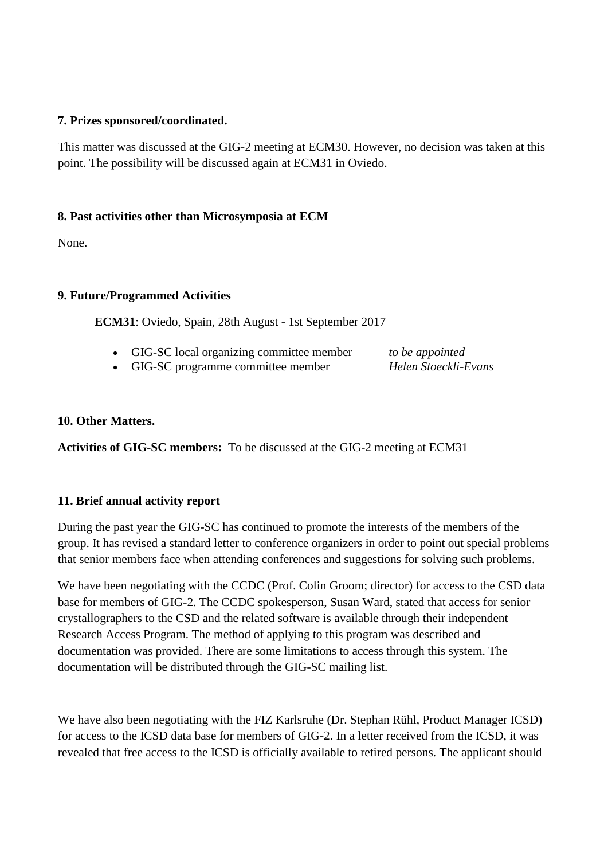# **7. Prizes sponsored/coordinated.**

This matter was discussed at the GIG-2 meeting at ECM30. However, no decision was taken at this point. The possibility will be discussed again at ECM31 in Oviedo.

# **8. Past activities other than Microsymposia at ECM**

None.

# **9. Future/Programmed Activities**

**ECM31**: Oviedo, Spain, 28th August - 1st September 2017

- GIG-SC local organizing committee member *[to](http://scripts.iucr.org/cgi-bin/iucrid_details?id=873) be appointed*
- GIG-SC programme committee member *Helen Stoeckli-Evans*

# **10. Other Matters.**

**Activities of GIG-SC members:** To be discussed at the GIG-2 meeting at ECM31

# **11. Brief annual activity report**

During the past year the GIG-SC has continued to promote the interests of the members of the group. It has revised a standard letter to conference organizers in order to point out special problems that senior members face when attending conferences and suggestions for solving such problems.

We have been negotiating with the CCDC (Prof. Colin Groom; director) for access to the CSD data base for members of GIG-2. The CCDC spokesperson, Susan Ward, stated that access for senior crystallographers to the CSD and the related software is available through their independent Research Access Program. The method of applying to this program was described and documentation was provided. There are some limitations to access through this system. The documentation will be distributed through the GIG-SC mailing list.

We have also been negotiating with the FIZ Karlsruhe (Dr. Stephan Rühl, Product Manager ICSD) for access to the ICSD data base for members of GIG-2. In a letter received from the ICSD, it was revealed that free access to the ICSD is officially available to retired persons. The applicant should